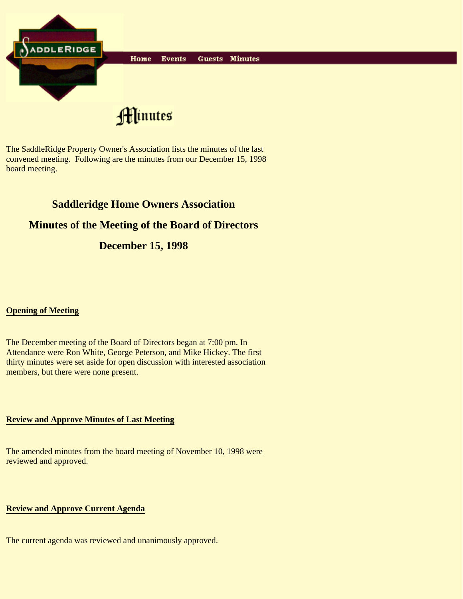

The SaddleRidge Property Owner's Association lists the minutes of the last convened meeting. Following are the minutes from our December 15, 1998 board meeting.

# **Saddleridge Home Owners Association**

## **Minutes of the Meeting of the Board of Directors**

## **December 15, 1998**

## **Opening of Meeting**

The December meeting of the Board of Directors began at 7:00 pm. In Attendance were Ron White, George Peterson, and Mike Hickey. The first thirty minutes were set aside for open discussion with interested association members, but there were none present.

#### **Review and Approve Minutes of Last Meeting**

The amended minutes from the board meeting of November 10, 1998 were reviewed and approved.

## **Review and Approve Current Agenda**

The current agenda was reviewed and unanimously approved.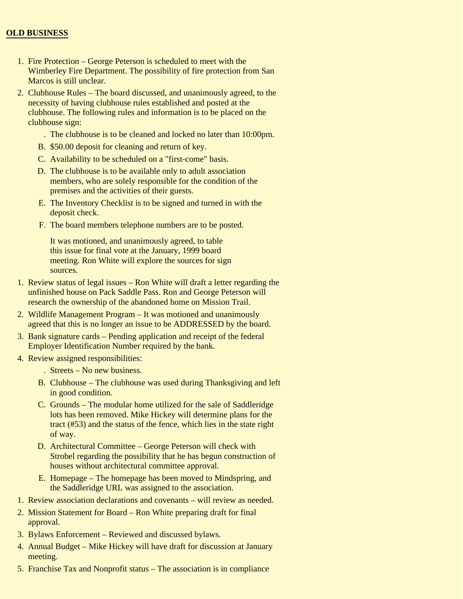## **OLD BUSINESS**

- 1. Fire Protection George Peterson is scheduled to meet with the Wimberley Fire Department. The possibility of fire protection from San Marcos is still unclear.
- 2. Clubhouse Rules The board discussed, and unanimously agreed, to the necessity of having clubhouse rules established and posted at the clubhouse. The following rules and information is to be placed on the clubhouse sign:
	- . The clubhouse is to be cleaned and locked no later than 10:00pm.
	- B. \$50.00 deposit for cleaning and return of key.
	- C. Availability to be scheduled on a "first-come" basis.
	- D. The clubhouse is to be available only to adult association members, who are solely responsible for the condition of the premises and the activities of their guests.
	- E. The Inventory Checklist is to be signed and turned in with the deposit check.
	- F. The board members telephone numbers are to be posted.

It was motioned, and unanimously agreed, to table this issue for final vote at the January, 1999 board meeting. Ron White will explore the sources for sign sources.

- 1. Review status of legal issues Ron White will draft a letter regarding the unfinished house on Pack Saddle Pass. Ron and George Peterson will research the ownership of the abandoned home on Mission Trail.
- Wildlife Management Program It was motioned and unanimously 2. agreed that this is no longer an issue to be ADDRESSED by the board.
- 3. Bank signature cards Pending application and receipt of the federal Employer Identification Number required by the bank.
- 4. Review assigned responsibilities:
	- . Streets No new business.
	- B. Clubhouse The clubhouse was used during Thanksgiving and left in good condition.
	- C. Grounds The modular home utilized for the sale of Saddleridge lots has been removed. Mike Hickey will determine plans for the tract (#53) and the status of the fence, which lies in the state right of way.
	- D. Architectural Committee George Peterson will check with Strobel regarding the possibility that he has begun construction of houses without architectural committee approval.
	- E. Homepage The homepage has been moved to Mindspring, and the Saddleridge URL was assigned to the association.
- 1. Review association declarations and covenants will review as needed.
- 2. Mission Statement for Board Ron White preparing draft for final approval.
- 3. Bylaws Enforcement Reviewed and discussed bylaws.
- 4. Annual Budget Mike Hickey will have draft for discussion at January meeting.
- 5. Franchise Tax and Nonprofit status The association is in compliance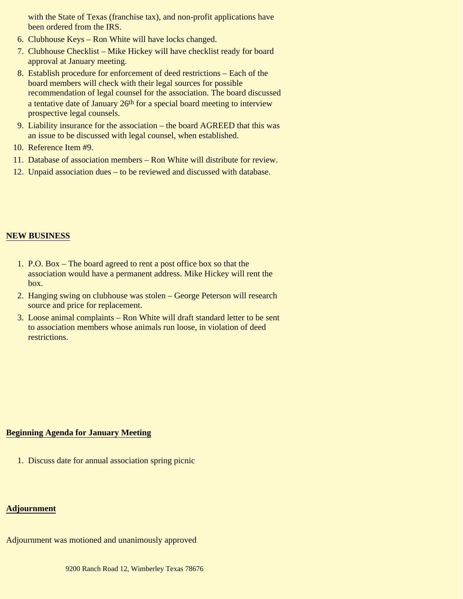with the State of Texas (franchise tax), and non-profit applications have been ordered from the IRS.

- 6. Clubhouse Keys Ron White will have locks changed.
- 7. Clubhouse Checklist Mike Hickey will have checklist ready for board approval at January meeting.
- Establish procedure for enforcement of deed restrictions Each of the 8. board members will check with their legal sources for possible recommendation of legal counsel for the association. The board discussed a tentative date of January 26<sup>th</sup> for a special board meeting to interview prospective legal counsels.
- 9. Liability insurance for the association the board AGREED that this was an issue to be discussed with legal counsel, when established.
- 10. Reference Item #9.
- 11. Database of association members Ron White will distribute for review.
- 12. Unpaid association dues to be reviewed and discussed with database.

#### **NEW BUSINESS**

- 1. P.O. Box The board agreed to rent a post office box so that the association would have a permanent address. Mike Hickey will rent the box.
- 2. Hanging swing on clubhouse was stolen George Peterson will research source and price for replacement.
- Loose animal complaints Ron White will draft standard letter to be sent 3. to association members whose animals run loose, in violation of deed restrictions.

#### **Beginning Agenda for January Meeting**

1. Discuss date for annual association spring picnic

#### **Adjournment**

Adjournment was motioned and unanimously approved